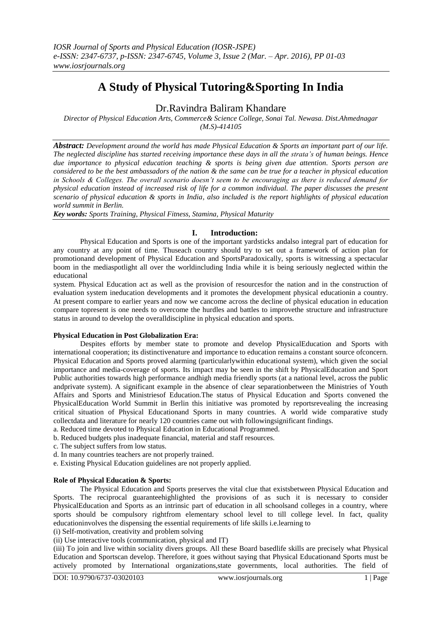# **A Study of Physical Tutoring&Sporting In India**

# Dr.Ravindra Baliram Khandare

*Director of Physical Education Arts, Commerce& Science College, Sonai Tal. Newasa. Dist.Ahmednagar (M.S)-414105*

*Abstract: Development around the world has made Physical Education & Sports an important part of our life. The neglected discipline has started receiving importance these days in all the strata's of human beings. Hence due importance to physical education teaching & sports is being given due attention. Sports person are considered to be the best ambassadors of the nation & the same can be true for a teacher in physical education in Schools & Colleges. The overall scenario doesn't seem to be encouraging as there is reduced demand for physical education instead of increased risk of life for a common individual. The paper discusses the present scenario of physical education & sports in India, also included is the report highlights of physical education world summit in Berlin.*

*Key words: Sports Training, Physical Fitness, Stamina, Physical Maturity*

# **I. Introduction:**

Physical Education and Sports is one of the important yardsticks andalso integral part of education for any country at any point of time. Thuseach country should try to set out a framework of action plan for promotionand development of Physical Education and SportsParadoxically, sports is witnessing a spectacular boom in the mediaspotlight all over the worldincluding India while it is being seriously neglected within the educational

system. Physical Education act as well as the provision of resourcesfor the nation and in the construction of evaluation system ineducation developments and it promotes the development physical educationin a country. At present compare to earlier years and now we cancome across the decline of physical education in education compare topresent is one needs to overcome the hurdles and battles to improvethe structure and infrastructure status in around to develop the overalldiscipline in physical education and sports.

# **Physical Education in Post Globalization Era:**

Despites efforts by member state to promote and develop PhysicalEducation and Sports with international cooperation; its distinctivenature and importance to education remains a constant source ofconcern. Physical Education and Sports proved alarming (particularlywithin educational system), which given the social importance and media-coverage of sports. Its impact may be seen in the shift by PhysicalEducation and Sport Public authorities towards high performance andhigh media friendly sports (at a national level, across the public andprivate system). A significant example in the absence of clear separationbetween the Ministries of Youth Affairs and Sports and Ministriesof Education.The status of Physical Education and Sports convened the PhysicalEducation World Summit in Berlin this initiative was promoted by reportsrevealing the increasing critical situation of Physical Educationand Sports in many countries. A world wide comparative study collectdata and literature for nearly 120 countries came out with followingsignificant findings.

- a. Reduced time devoted to Physical Education in Educational Programmed. b. Reduced budgets plus inadequate financial, material and staff resources.
- c. The subject suffers from low status.
- d. In many countries teachers are not properly trained.
- e. Existing Physical Education guidelines are not properly applied.

#### **Role of Physical Education & Sports:**

The Physical Education and Sports preserves the vital clue that existsbetween Physical Education and Sports. The reciprocal guaranteehighlighted the provisions of as such it is necessary to consider PhysicalEducation and Sports as an intrinsic part of education in all schoolsand colleges in a country, where sports should be compulsory rightfrom elementary school level to till college level. In fact, quality educationinvolves the dispensing the essential requirements of life skills i.e.learning to

(i) Self-motivation, creativity and problem solving

(ii) Use interactive tools (communication, physical and IT)

(iii) To join and live within sociality divers groups. All these Board basedlife skills are precisely what Physical Education and Sportscan develop. Therefore, it goes without saying that Physical Educationand Sports must be actively promoted by International organizations,state governments, local authorities. The field of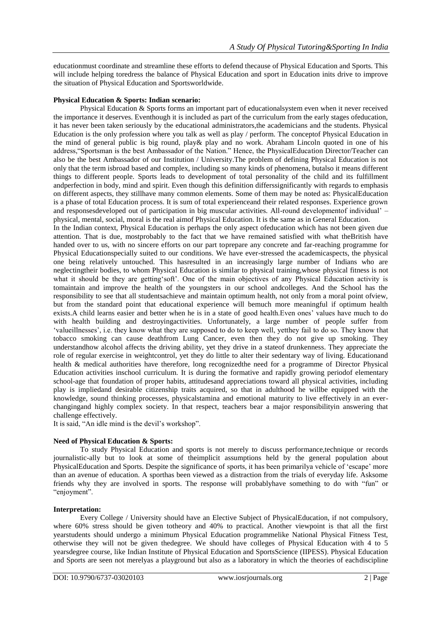educationmust coordinate and streamline these efforts to defend thecause of Physical Education and Sports. This will include helping toredress the balance of Physical Education and sport in Education inits drive to improve the situation of Physical Education and Sportsworldwide.

#### **Physical Education & Sports: Indian scenario:**

Physical Education & Sports forms an important part of educationalsystem even when it never received the importance it deserves. Eventhough it is included as part of the curriculum from the early stages ofeducation, it has never been taken seriously by the educational administrators,the academicians and the students. Physical Education is the only profession where you talk as well as play / perform. The conceptof Physical Education in the mind of general public is big round, play& play and no work. Abraham Lincoln quoted in one of his address,"Sportsman is the best Ambassador of the Nation." Hence, the PhysicalEducation Director/Teacher can also be the best Ambassador of our Institution / University.The problem of defining Physical Education is not only that the term isbroad based and complex, including so many kinds of phenomena, butalso it means different things to different people. Sports leads to development of total personality of the child and its fulfillment andperfection in body, mind and spirit. Even though this definition differssignificantly with regards to emphasis on different aspects, they stillhave many common elements. Some of them may be noted as: PhysicalEducation is a phase of total Education process. It is sum of total experienceand their related responses. Experience grown and responsesdeveloped out of participation in big muscular activities. All-round developmentof individual" – physical, mental, social, moral is the real aimof Physical Education. It is the same as in General Education. In the Indian context, Physical Education is perhaps the only aspect ofeducation which has not been given due attention. That is due, mostprobably to the fact that we have remained satisfied with what theBritish have handed over to us, with no sincere efforts on our part toprepare any concrete and far-reaching programme for Physical Educationspecially suited to our conditions. We have ever-stressed the academicaspects, the physical one being relatively untouched. This hasresulted in an increasingly large number of Indians who are neglectingtheir bodies, to whom Physical Education is similar to physical training,whose physical fitness is not what it should be they are getting soft'. One of the main objectives of any Physical Education activity is tomaintain and improve the health of the youngsters in our school andcolleges. And the School has the responsibility to see that all studentsachieve and maintain optimum health, not only from a moral point ofview, but from the standard point that educational experience will bemuch more meaningful if optimum health exists.A child learns easier and better when he is in a state of good health.Even ones" values have much to do with health building and destroyingactivities. Unfortunately, a large number of people suffer from "valueillnesses", i.e. they know what they are supposed to do to keep well, yetthey fail to do so. They know that tobacco smoking can cause deathfrom Lung Cancer, even then they do not give up smoking. They understandhow alcohol affects the driving ability, yet they drive in a stateof drunkenness. They appreciate the role of regular exercise in weightcontrol, yet they do little to alter their sedentary way of living. Educationand health & medical authorities have therefore, long recognizedthe need for a programme of Director Physical Education activities inschool curriculum. It is during the formative and rapidly growing periodof elementary school-age that foundation of proper habits, attitudesand appreciations toward all physical activities, including play is impliedand desirable citizenship traits acquired, so that in adulthood he willbe equipped with the knowledge, sound thinking processes, physicalstamina and emotional maturity to live effectively in an everchangingand highly complex society. In that respect, teachers bear a major responsibilityin answering that

It is said, "An idle mind is the devil's workshop".

# **Need of Physical Education & Sports:**

To study Physical Education and sports is not merely to discuss performance,technique or records journalistic-ally but to look at some of theimplicit assumptions held by the general population about PhysicalEducation and Sports. Despite the significance of sports, it has been primarilya vehicle of 'escape' more than an avenue of education. A sporthas been viewed as a distraction from the trials of everyday life. Asksome friends why they are involved in sports. The response will probablyhave something to do with "fun" or "enjoyment".

# **Interpretation:**

challenge effectively.

Every College / University should have an Elective Subject of PhysicalEducation, if not compulsory, where 60% stress should be given totheory and 40% to practical. Another viewpoint is that all the first yearstudents should undergo a minimum Physical Education programmelike National Physical Fitness Test, otherwise they will not be given thedegree. We should have colleges of Physical Education with 4 to 5 yearsdegree course, like Indian Institute of Physical Education and SportsScience (IIPESS). Physical Education and Sports are seen not merelyas a playground but also as a laboratory in which the theories of eachdiscipline